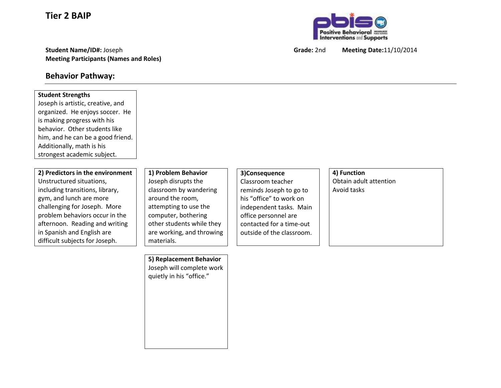**Tier 2 BAIP**

**Student Name/ID#:** Joseph **Grade:** 2nd **Meeting Date:**11/10/2014 **Meeting Participants (Names and Roles)**

## **Behavior Pathway:**

## **Student Strengths** Joseph is artistic, creative, and organized. He enjoys soccer. He is making progress with his behavior. Other students like him, and he can be a good friend. Additionally, math is his strongest academic subject. **2) Predictors in the environment** Unstructured situations, including transitions, library, gym, and lunch are more challenging for Joseph. More problem behaviors occur in the afternoon. Reading and writing in Spanish and English are difficult subjects for Joseph. **1) Problem Behavior** Joseph disrupts the classroom by wandering around the room, attempting to use the computer, bothering other students while they are working, and throwing materials. **3)Consequence** Classroom teacher reminds Joseph to go to his "office" to work on independent tasks. Main office personnel are contacted for a time-out outside of the classroom. **4) Function** Obtain adult attention Avoid tasks **5) Replacement Behavior** Joseph will complete work quietly in his "office."